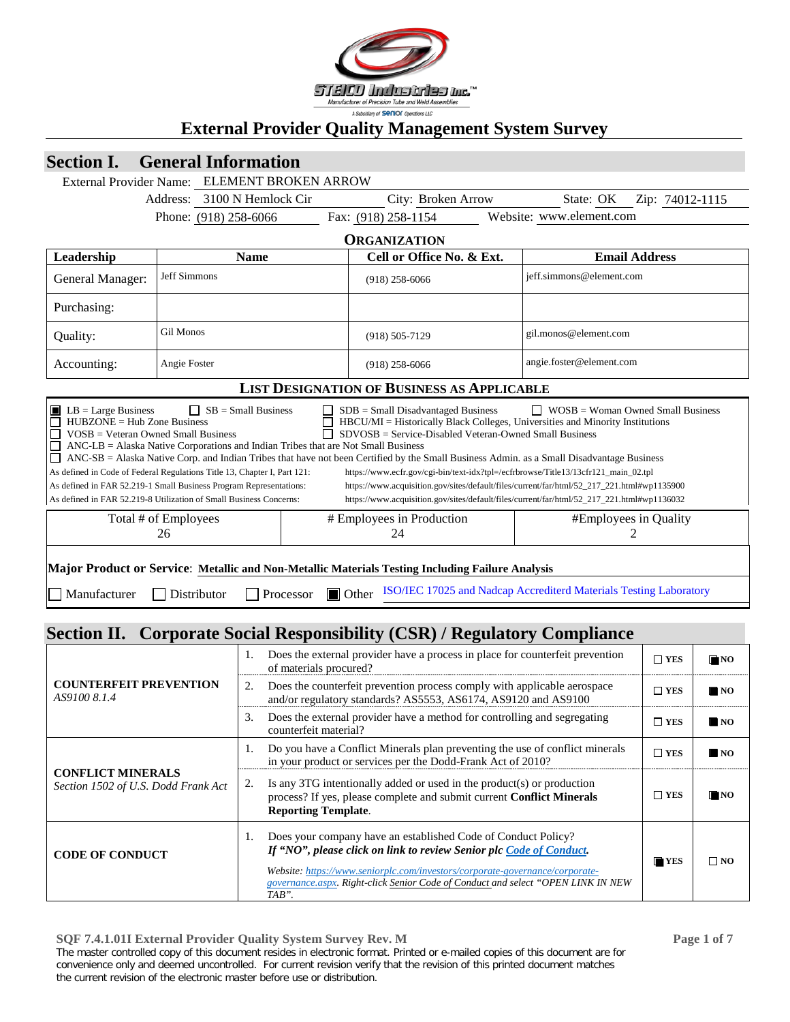

# **Section I. General Information**

|                                                                                                                                                                                                                                                                                                                                                                                                                                                                                                                                                                                                                                                                                                                                                                                                                                                                                                                                                                                                                                                                                                                                        | External Provider Name: ELEMENT BROKEN ARROW                                                                          |  |                                                   |  |                          |                      |  |  |
|----------------------------------------------------------------------------------------------------------------------------------------------------------------------------------------------------------------------------------------------------------------------------------------------------------------------------------------------------------------------------------------------------------------------------------------------------------------------------------------------------------------------------------------------------------------------------------------------------------------------------------------------------------------------------------------------------------------------------------------------------------------------------------------------------------------------------------------------------------------------------------------------------------------------------------------------------------------------------------------------------------------------------------------------------------------------------------------------------------------------------------------|-----------------------------------------------------------------------------------------------------------------------|--|---------------------------------------------------|--|--------------------------|----------------------|--|--|
|                                                                                                                                                                                                                                                                                                                                                                                                                                                                                                                                                                                                                                                                                                                                                                                                                                                                                                                                                                                                                                                                                                                                        | Address: 3100 N Hemlock Cir                                                                                           |  | City: Broken Arrow                                |  | State: OK                | Zip: 74012-1115      |  |  |
|                                                                                                                                                                                                                                                                                                                                                                                                                                                                                                                                                                                                                                                                                                                                                                                                                                                                                                                                                                                                                                                                                                                                        | Phone: (918) 258-6066                                                                                                 |  | Fax: (918) 258-1154                               |  | Website: www.element.com |                      |  |  |
|                                                                                                                                                                                                                                                                                                                                                                                                                                                                                                                                                                                                                                                                                                                                                                                                                                                                                                                                                                                                                                                                                                                                        | <b>ORGANIZATION</b>                                                                                                   |  |                                                   |  |                          |                      |  |  |
| Leadership                                                                                                                                                                                                                                                                                                                                                                                                                                                                                                                                                                                                                                                                                                                                                                                                                                                                                                                                                                                                                                                                                                                             | <b>Name</b>                                                                                                           |  | Cell or Office No. & Ext.                         |  |                          | <b>Email Address</b> |  |  |
| General Manager:                                                                                                                                                                                                                                                                                                                                                                                                                                                                                                                                                                                                                                                                                                                                                                                                                                                                                                                                                                                                                                                                                                                       | <b>Jeff Simmons</b>                                                                                                   |  | $(918)$ 258-6066                                  |  | jeff.simmons@element.com |                      |  |  |
| Purchasing:                                                                                                                                                                                                                                                                                                                                                                                                                                                                                                                                                                                                                                                                                                                                                                                                                                                                                                                                                                                                                                                                                                                            |                                                                                                                       |  |                                                   |  |                          |                      |  |  |
| Quality:                                                                                                                                                                                                                                                                                                                                                                                                                                                                                                                                                                                                                                                                                                                                                                                                                                                                                                                                                                                                                                                                                                                               | <b>Gil Monos</b>                                                                                                      |  | $(918) 505 - 7129$                                |  | gil.monos@element.com    |                      |  |  |
| Accounting:                                                                                                                                                                                                                                                                                                                                                                                                                                                                                                                                                                                                                                                                                                                                                                                                                                                                                                                                                                                                                                                                                                                            | Angie Foster                                                                                                          |  | $(918)$ 258-6066                                  |  | angie.foster@element.com |                      |  |  |
|                                                                                                                                                                                                                                                                                                                                                                                                                                                                                                                                                                                                                                                                                                                                                                                                                                                                                                                                                                                                                                                                                                                                        |                                                                                                                       |  | <b>LIST DESIGNATION OF BUSINESS AS APPLICABLE</b> |  |                          |                      |  |  |
| $\Box$ SB = Small Business<br>$\blacksquare$ LB = Large Business<br>$SDB = Small$ Disadvantaged Business<br>$\Box$ WOSB = Woman Owned Small Business<br>П<br>$HUBZONE = Hub Zone Business$<br>HBCU/MI = Historically Black Colleges, Universities and Minority Institutions<br>SDVOSB = Service-Disabled Veteran-Owned Small Business<br>П<br>$VOSB = Veteran$ Owned Small Business<br>П<br>$ANC-LB = Alaska$ Native Corporations and Indian Tribes that are Not Small Business<br>ANC-SB = Alaska Native Corp. and Indian Tribes that have not been Certified by the Small Business Admin. as a Small Disadvantage Business<br>As defined in Code of Federal Regulations Title 13, Chapter I, Part 121:<br>https://www.ecfr.gov/cgi-bin/text-idx?tpl=/ecfrbrowse/Title13/13cfr121_main_02.tpl<br>As defined in FAR 52.219-1 Small Business Program Representations:<br>https://www.acquisition.gov/sites/default/files/current/far/html/52_217_221.html#wp1135900<br>As defined in FAR 52.219-8 Utilization of Small Business Concerns:<br>https://www.acquisition.gov/sites/default/files/current/far/html/52_217_221.html#wp1136032 |                                                                                                                       |  |                                                   |  |                          |                      |  |  |
| Total # of Employees<br># Employees in Production<br>#Employees in Quality<br>26<br>24                                                                                                                                                                                                                                                                                                                                                                                                                                                                                                                                                                                                                                                                                                                                                                                                                                                                                                                                                                                                                                                 |                                                                                                                       |  |                                                   |  |                          |                      |  |  |
| Major Product or Service: Metallic and Non-Metallic Materials Testing Including Failure Analysis                                                                                                                                                                                                                                                                                                                                                                                                                                                                                                                                                                                                                                                                                                                                                                                                                                                                                                                                                                                                                                       |                                                                                                                       |  |                                                   |  |                          |                      |  |  |
| $\Box$ Manufacturer                                                                                                                                                                                                                                                                                                                                                                                                                                                                                                                                                                                                                                                                                                                                                                                                                                                                                                                                                                                                                                                                                                                    | ISO/IEC 17025 and Nadcap Accrediterd Materials Testing Laboratory<br>Distributor<br>Processor<br>$\blacksquare$ Other |  |                                                   |  |                          |                      |  |  |
|                                                                                                                                                                                                                                                                                                                                                                                                                                                                                                                                                                                                                                                                                                                                                                                                                                                                                                                                                                                                                                                                                                                                        |                                                                                                                       |  |                                                   |  |                          |                      |  |  |

# **Section II. Corporate Social Responsibility (CSR) / Regulatory Compliance**

|                                                                 | Does the external provider have a process in place for counterfeit prevention<br>of materials procured? |                                                                                                                                                                                                                                                                                                                   | $\Box$ YES         | $\blacksquare$ NO |
|-----------------------------------------------------------------|---------------------------------------------------------------------------------------------------------|-------------------------------------------------------------------------------------------------------------------------------------------------------------------------------------------------------------------------------------------------------------------------------------------------------------------|--------------------|-------------------|
| <b>COUNTERFEIT PREVENTION</b><br>AS9100 8.1.4                   | 2.                                                                                                      | Does the counterfeit prevention process comply with applicable aerospace<br>and/or regulatory standards? AS5553, AS6174, AS9120 and AS9100                                                                                                                                                                        | $\Box$ YES         | $\blacksquare$ NO |
|                                                                 | 3.                                                                                                      | Does the external provider have a method for controlling and segregating<br>counterfeit material?                                                                                                                                                                                                                 | $\Box$ YES         | $\blacksquare$ NO |
|                                                                 |                                                                                                         | Do you have a Conflict Minerals plan preventing the use of conflict minerals<br>in your product or services per the Dodd-Frank Act of 2010?                                                                                                                                                                       | $\Box$ YES         | $\blacksquare$ NO |
| <b>CONFLICT MINERALS</b><br>Section 1502 of U.S. Dodd Frank Act | 2.                                                                                                      | Is any 3TG intentionally added or used in the product(s) or production<br>process? If yes, please complete and submit current Conflict Minerals<br><b>Reporting Template.</b>                                                                                                                                     | $\Box$ YES         | $\blacksquare$ NO |
| <b>CODE OF CONDUCT</b>                                          |                                                                                                         | Does your company have an established Code of Conduct Policy?<br>If "NO", please click on link to review Senior plc Code of Conduct.<br>Website: https://www.seniorplc.com/investors/corporate-governance/corporate-<br>governance.aspx. Right-click Senior Code of Conduct and select "OPEN LINK IN NEW<br>TAB". | $\blacksquare$ YES | $\square$ NO      |

**SQF 7.4.1.01I External Provider Quality System Survey Rev. M Page 1 of 7** The master controlled copy of this document resides in electronic format. Printed or e-mailed copies of this document are for convenience only and deemed uncontrolled. For current revision verify that the revision of this printed document matches the current revision of the electronic master before use or distribution.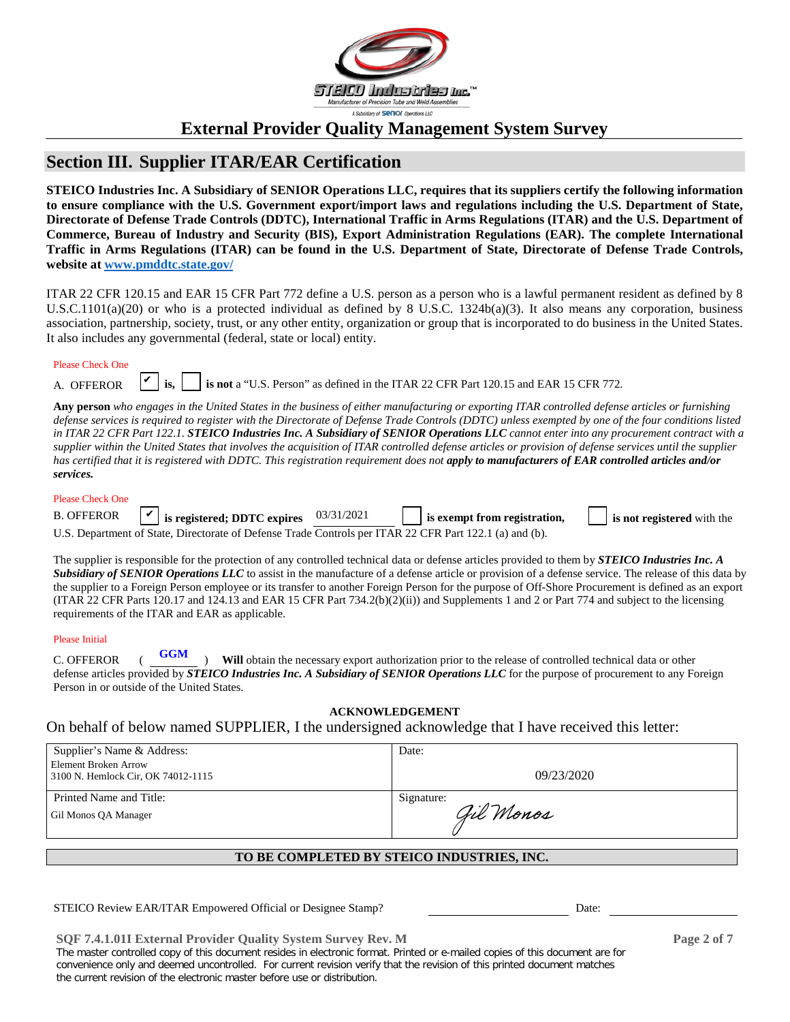

### **Section III. Supplier ITAR/EAR Certification**

**STEICO Industries Inc. A Subsidiary of SENIOR Operations LLC, requires that its suppliers certify the following information to ensure compliance with the U.S. Government export/import laws and regulations including the U.S. Department of State, Directorate of Defense Trade Controls (DDTC), International Traffic in Arms Regulations (ITAR) and the U.S. Department of Commerce, Bureau of Industry and Security (BIS), Export Administration Regulations (EAR). The complete International Traffic in Arms Regulations (ITAR) can be found in the U.S. Department of State, Directorate of Defense Trade Controls, website at [www.pmddtc.state.gov/](http://www.pmddtc.state.gov/)**

ITAR 22 CFR 120.15 and EAR 15 CFR Part 772 define a U.S. person as a person who is a lawful permanent resident as defined by 8 U.S.C.1101(a)(20) or who is a protected individual as defined by 8 U.S.C. 1324b(a)(3). It also means any corporation, business association, partnership, society, trust, or any other entity, organization or group that is incorporated to do business in the United States. It also includes any governmental (federal, state or local) entity.

| <b>Please Check One</b> |  |  |
|-------------------------|--|--|
|                         |  |  |

| <b>OEEEDOD</b> |  |
|----------------|--|
|                |  |

is not a "U.S. Person" as defined in the ITAR 22 CFR Part 120.15 and EAR 15 CFR 772.

**Any person** *who engages in the United States in the business of either manufacturing or exporting ITAR controlled defense articles or furnishing defense services is required to register with the Directorate of Defense Trade Controls (DDTC) unless exempted by one of the four conditions listed in ITAR 22 CFR Part 122.1. STEICO Industries Inc. A Subsidiary of SENIOR Operations LLC cannot enter into any procurement contract with a supplier within the United States that involves the acquisition of ITAR controlled defense articles or provision of defense services until the supplier*  has certified that it is registered with DDTC. This registration requirement does not apply to manufacturers of EAR controlled articles and/or *services.*

#### Please Check One

| <b>B. OFFEROR</b> |  |
|-------------------|--|

| B. OFFEROR | $\vert \mathbf{v} \vert$ is registered; DDTC expires $03/31/2021$                                       | is exempt from registration, | is not registered with the |
|------------|---------------------------------------------------------------------------------------------------------|------------------------------|----------------------------|
|            | U.S. Department of State. Directorate of Defense Trade Controls per ITAR 22 CFR Part 122.1 (a) and (b). |                              |                            |

The supplier is responsible for the protection of any controlled technical data or defense articles provided to them by *STEICO Industries Inc. A*  **Subsidiary of SENIOR Operations LLC** to assist in the manufacture of a defense article or provision of a defense service. The release of this data by the supplier to a Foreign Person employee or its transfer to another Foreign Person for the purpose of Off-Shore Procurement is defined as an export (ITAR 22 CFR Parts 120.17 and 124.13 and EAR 15 CFR Part 734.2(b)(2)(ii)) and Supplements 1 and 2 or Part 774 and subject to the licensing requirements of the ITAR and EAR as applicable.

#### Please Initial

C. OFFEROR  $($ **VGM** $)$  **Will** obtain the necessary export authorization prior to the release of controlled technical data or other defense articles provided by *STEICO Industries Inc. A Subsidiary of SENIOR Operations LLC* for the purpose of procurement to any Foreign Person in or outside of the United States. **GGM**

#### **ACKNOWLEDGEMENT**

#### On behalf of below named SUPPLIER, I the undersigned acknowledge that I have received this letter:

| Supplier's Name & Address:                                 | Date:      |
|------------------------------------------------------------|------------|
| Element Broken Arrow<br>3100 N. Hemlock Cir, OK 74012-1115 | 09/23/2020 |
| Printed Name and Title:                                    | Signature: |
| Gil Monos QA Manager                                       | Gil Monos  |

#### **TO BE COMPLETED BY STEICO INDUSTRIES, INC.**

STEICO Review EAR/ITAR Empowered Official or Designee Stamp? Date:

**SQF 7.4.1.01I External Provider Quality System Survey Rev. M Page 2 of 7**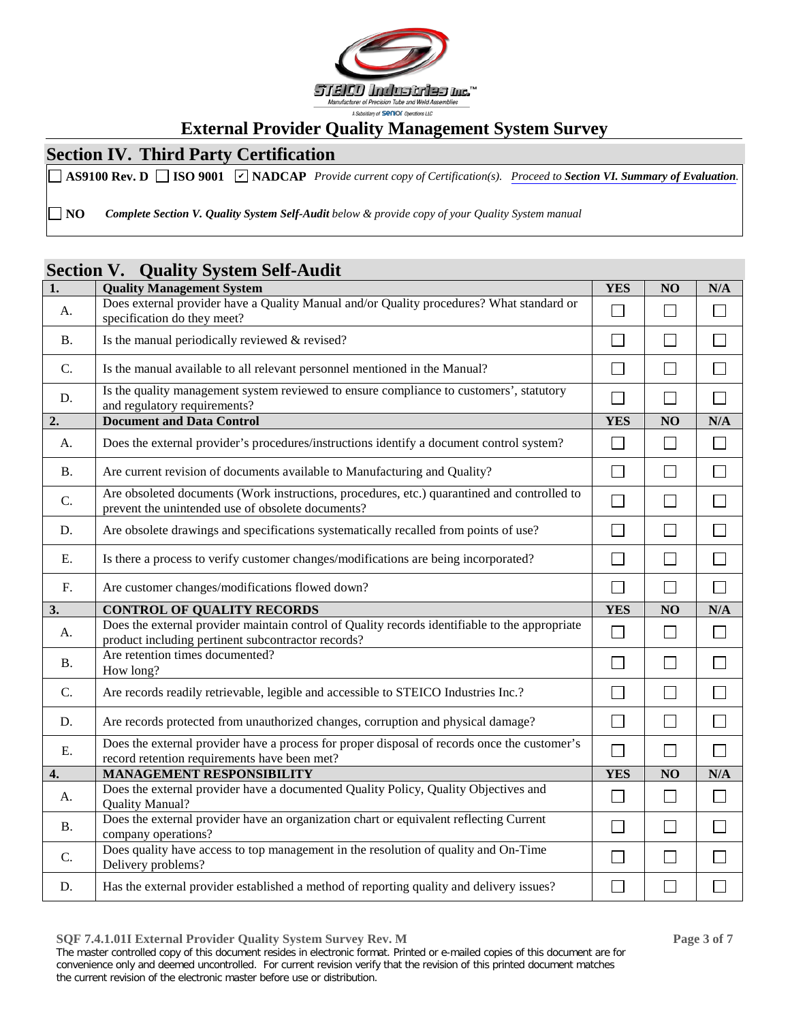

## **Section IV. Third Party Certification**

AS9100 Rev. D  $\Box$  ISO 9001  $\Box$  NADCAP Provide current copy of Certification(s). Proceed to Section VI. [Summary of Evaluation](#page-5-0).

**NO** *Complete Section V. Quality System Self-Audit below & provide copy of your Quality System manual*

### **Section V. Quality System Self-Audit**

| $\overline{1}$ . | <b>Quality Management System</b>                                                                                                                     | <b>YES</b>                  | NO                | N/A                         |
|------------------|------------------------------------------------------------------------------------------------------------------------------------------------------|-----------------------------|-------------------|-----------------------------|
| A.               | Does external provider have a Quality Manual and/or Quality procedures? What standard or<br>specification do they meet?                              | ┑                           | $\mathbb{R}^n$    | Г                           |
| <b>B.</b>        | Is the manual periodically reviewed & revised?                                                                                                       | $\Box$                      | $\mathbb{R}^n$    | $\Box$                      |
| C.               | Is the manual available to all relevant personnel mentioned in the Manual?                                                                           |                             |                   |                             |
| D.               | Is the quality management system reviewed to ensure compliance to customers', statutory<br>and regulatory requirements?                              | $\overline{\phantom{0}}$    |                   | $\Box$                      |
| 2.               | <b>Document and Data Control</b>                                                                                                                     | <b>YES</b>                  | NO                | N/A                         |
| A.               | Does the external provider's procedures/instructions identify a document control system?                                                             | $\Box$                      | $\Box$            | $\Box$                      |
| <b>B.</b>        | Are current revision of documents available to Manufacturing and Quality?                                                                            | $\Box$                      |                   | Г                           |
| C.               | Are obsoleted documents (Work instructions, procedures, etc.) quarantined and controlled to<br>prevent the unintended use of obsolete documents?     | $\overline{\phantom{0}}$    | $\mathbf{I}$      | $\mathcal{L}_{\mathcal{A}}$ |
| D.               | Are obsolete drawings and specifications systematically recalled from points of use?                                                                 | $\Box$                      |                   | $\Box$                      |
| Ε.               | Is there a process to verify customer changes/modifications are being incorporated?                                                                  | ┐                           | $\Box$            | $\Box$                      |
| F.               | Are customer changes/modifications flowed down?                                                                                                      | $\Box$                      | $\Box$            | $\Box$                      |
| 3.               | <b>CONTROL OF QUALITY RECORDS</b>                                                                                                                    | <b>YES</b>                  | NO                | N/A                         |
| A.               | Does the external provider maintain control of Quality records identifiable to the appropriate<br>product including pertinent subcontractor records? | $\overline{\phantom{a}}$    |                   |                             |
| <b>B.</b>        | Are retention times documented?<br>How long?                                                                                                         | $\mathsf{L}$                |                   |                             |
| C.               | Are records readily retrievable, legible and accessible to STEICO Industries Inc.?                                                                   | $\Box$                      | $\vert \ \ \vert$ | $\Box$                      |
| D.               | Are records protected from unauthorized changes, corruption and physical damage?                                                                     | $\Box$                      |                   | $\Box$                      |
| E.               | Does the external provider have a process for proper disposal of records once the customer's<br>record retention requirements have been met?         | $\mathbb{R}^n$              | $\Box$            | $\overline{\phantom{a}}$    |
| 4.               | <b>MANAGEMENT RESPONSIBILITY</b>                                                                                                                     | <b>YES</b>                  | NO                | N/A                         |
| A.               | Does the external provider have a documented Quality Policy, Quality Objectives and<br>Quality Manual?                                               | $\Box$                      | $\Box$            | $\Box$                      |
| <b>B.</b>        | Does the external provider have an organization chart or equivalent reflecting Current<br>company operations?                                        | $\blacksquare$              |                   | L                           |
| C.               | Does quality have access to top management in the resolution of quality and On-Time<br>Delivery problems?                                            | $\mathcal{L}_{\mathcal{A}}$ |                   |                             |
| D.               | Has the external provider established a method of reporting quality and delivery issues?                                                             | $\overline{\phantom{0}}$    |                   |                             |

**SQF 7.4.1.01I External Provider Quality System Survey Rev. M Page 3 of 7**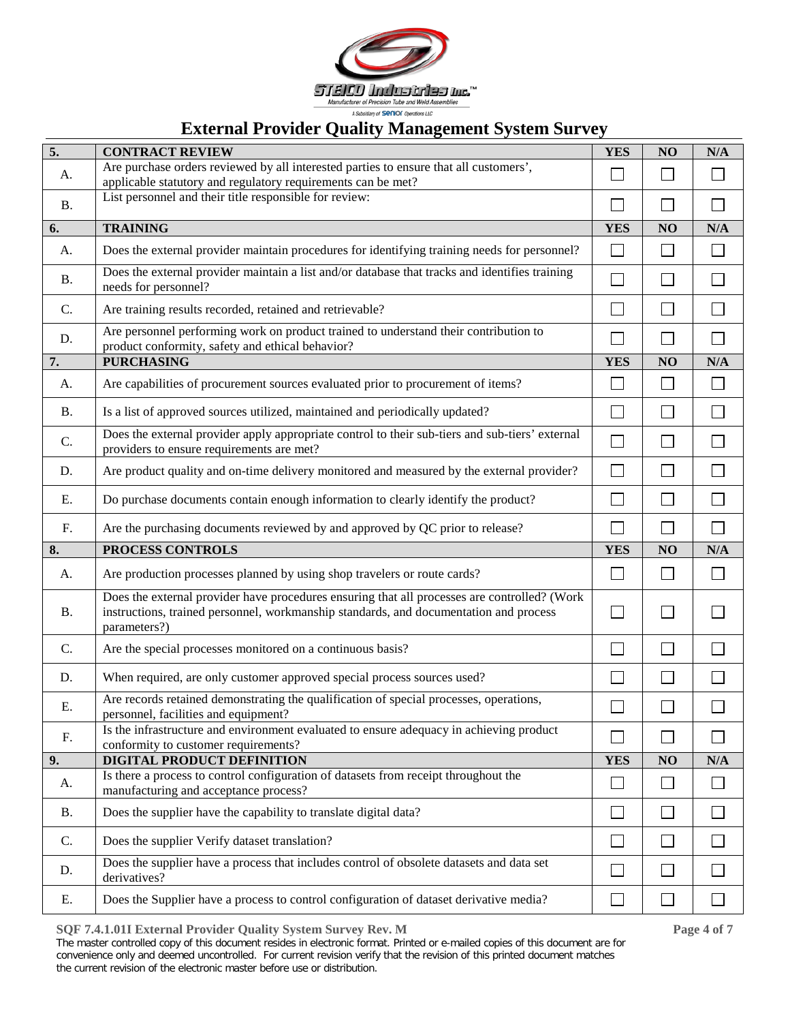

| 5.        | <b>CONTRACT REVIEW</b>                                                                                                                                                                                | <b>YES</b>                  | NO                       | N/A          |
|-----------|-------------------------------------------------------------------------------------------------------------------------------------------------------------------------------------------------------|-----------------------------|--------------------------|--------------|
| А.        | Are purchase orders reviewed by all interested parties to ensure that all customers',<br>applicable statutory and regulatory requirements can be met?                                                 | $\sim$                      |                          |              |
| <b>B.</b> | List personnel and their title responsible for review:                                                                                                                                                |                             |                          |              |
| 6.        | <b>TRAINING</b>                                                                                                                                                                                       | <b>YES</b>                  | NO                       | N/A          |
| А.        | Does the external provider maintain procedures for identifying training needs for personnel?                                                                                                          | $\Box$                      | $\sim$                   | $\Box$       |
| <b>B.</b> | Does the external provider maintain a list and/or database that tracks and identifies training<br>needs for personnel?                                                                                | $\mathcal{L}_{\mathcal{A}}$ |                          | $\Box$       |
| C.        | Are training results recorded, retained and retrievable?                                                                                                                                              |                             |                          | $\Box$       |
| D.        | Are personnel performing work on product trained to understand their contribution to<br>product conformity, safety and ethical behavior?                                                              | $\overline{\phantom{0}}$    | $\blacksquare$           | $\Box$       |
| 7.        | <b>PURCHASING</b>                                                                                                                                                                                     | <b>YES</b>                  | NO                       | N/A          |
| A.        | Are capabilities of procurement sources evaluated prior to procurement of items?                                                                                                                      | $\Box$                      | $\sim$                   | $\Box$       |
| <b>B.</b> | Is a list of approved sources utilized, maintained and periodically updated?                                                                                                                          | $\Box$                      | $\overline{\phantom{0}}$ | П            |
| C.        | Does the external provider apply appropriate control to their sub-tiers and sub-tiers' external<br>providers to ensure requirements are met?                                                          |                             |                          | $\Box$       |
| D.        | Are product quality and on-time delivery monitored and measured by the external provider?                                                                                                             | $\Box$                      |                          | П            |
| Ε.        | Do purchase documents contain enough information to clearly identify the product?                                                                                                                     |                             |                          | $\Box$       |
| F.        | Are the purchasing documents reviewed by and approved by QC prior to release?                                                                                                                         | $\blacksquare$              | $\mathsf{L}$             | П            |
| 8.        | PROCESS CONTROLS                                                                                                                                                                                      | <b>YES</b>                  | NO                       | N/A          |
| A.        | Are production processes planned by using shop travelers or route cards?                                                                                                                              | $\mathbb{Z}^2$              | $\sim$                   | $\Box$       |
| <b>B.</b> | Does the external provider have procedures ensuring that all processes are controlled? (Work<br>instructions, trained personnel, workmanship standards, and documentation and process<br>parameters?) | $\mathbb{Z}^2$              |                          | $\Box$       |
| C.        | Are the special processes monitored on a continuous basis?                                                                                                                                            | $\sim$                      | ×.                       | $\mathbf{I}$ |
| D.        | When required, are only customer approved special process sources used?                                                                                                                               | $\overline{\mathcal{L}}$    |                          |              |
| Ε.        | Are records retained demonstrating the qualification of special processes, operations,<br>personnel, facilities and equipment?                                                                        |                             |                          |              |
| F.        | Is the infrastructure and environment evaluated to ensure adequacy in achieving product<br>conformity to customer requirements?                                                                       |                             |                          |              |
| 9.        | DIGITAL PRODUCT DEFINITION                                                                                                                                                                            | <b>YES</b>                  | NO                       | N/A          |
| A.        | Is there a process to control configuration of datasets from receipt throughout the<br>manufacturing and acceptance process?                                                                          | $\mathcal{L}$               |                          | $\mathsf{I}$ |
| <b>B.</b> | Does the supplier have the capability to translate digital data?                                                                                                                                      |                             |                          |              |
| C.        | Does the supplier Verify dataset translation?                                                                                                                                                         | ┓                           |                          |              |
| D.        | Does the supplier have a process that includes control of obsolete datasets and data set<br>derivatives?                                                                                              |                             |                          |              |
| Ε.        | Does the Supplier have a process to control configuration of dataset derivative media?                                                                                                                |                             |                          |              |

**SQF 7.4.1.01I External Provider Quality System Survey Rev. M Page 4 of 7**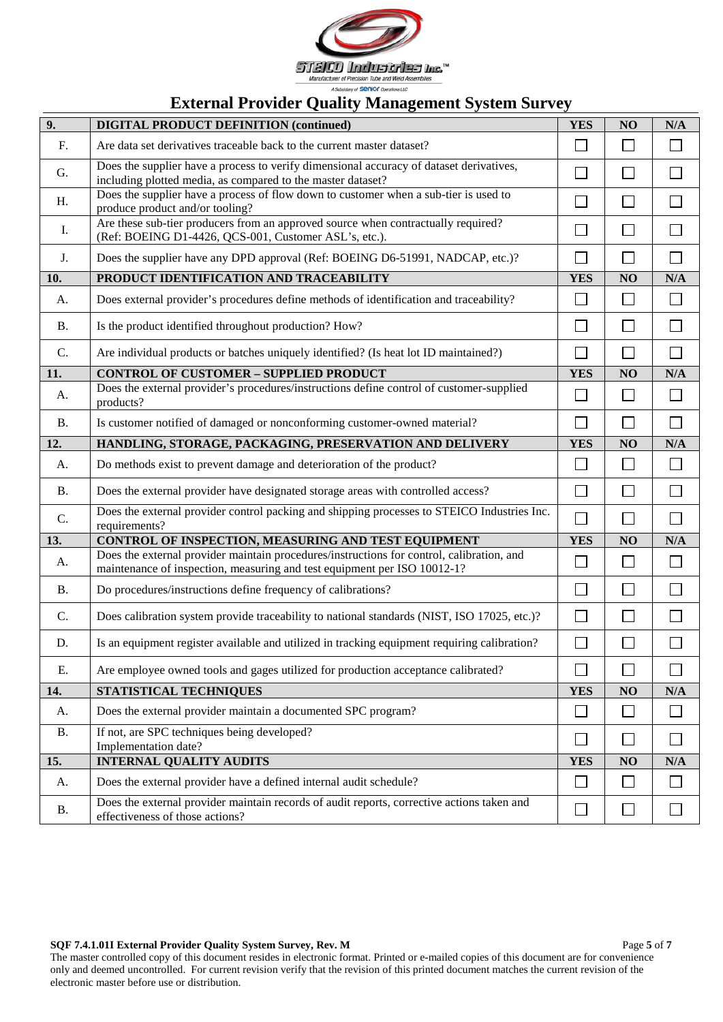

| 9.        | <b>DIGITAL PRODUCT DEFINITION (continued)</b>                                                                                                                         | <b>YES</b>   | NO     | N/A                         |
|-----------|-----------------------------------------------------------------------------------------------------------------------------------------------------------------------|--------------|--------|-----------------------------|
| F.        | Are data set derivatives traceable back to the current master dataset?                                                                                                | $\Box$       | $\Box$ |                             |
| G.        | Does the supplier have a process to verify dimensional accuracy of dataset derivatives,<br>including plotted media, as compared to the master dataset?                | $\mathbf{L}$ | $\sim$ |                             |
| H.        | Does the supplier have a process of flow down to customer when a sub-tier is used to                                                                                  | $\Box$       | $\Box$ | $\Box$                      |
|           | produce product and/or tooling?<br>Are these sub-tier producers from an approved source when contractually required?                                                  |              |        |                             |
| I.        | (Ref: BOEING D1-4426, QCS-001, Customer ASL's, etc.).                                                                                                                 | $\Box$       | $\Box$ | $\Box$                      |
| J.        | Does the supplier have any DPD approval (Ref: BOEING D6-51991, NADCAP, etc.)?                                                                                         | $\Box$       | $\Box$ | $\Box$                      |
| 10.       | PRODUCT IDENTIFICATION AND TRACEABILITY                                                                                                                               | <b>YES</b>   | NO     | N/A                         |
| A.        | Does external provider's procedures define methods of identification and traceability?                                                                                | $\Box$       | $\Box$ | $\Box$                      |
| <b>B.</b> | Is the product identified throughout production? How?                                                                                                                 | П            | П      | $\Box$                      |
| C.        | Are individual products or batches uniquely identified? (Is heat lot ID maintained?)                                                                                  | $\Box$       | $\Box$ | $\Box$                      |
| 11.       | <b>CONTROL OF CUSTOMER - SUPPLIED PRODUCT</b>                                                                                                                         | <b>YES</b>   | NO     | N/A                         |
| A.        | Does the external provider's procedures/instructions define control of customer-supplied<br>products?                                                                 | П            | $\Box$ | $\Box$                      |
| <b>B.</b> | Is customer notified of damaged or nonconforming customer-owned material?                                                                                             | $\Box$       | $\Box$ | $\Box$                      |
| 12.       | HANDLING, STORAGE, PACKAGING, PRESERVATION AND DELIVERY                                                                                                               | <b>YES</b>   | NO     | N/A                         |
| A.        | Do methods exist to prevent damage and deterioration of the product?                                                                                                  | $\Box$       | $\Box$ | $\Box$                      |
| <b>B.</b> | Does the external provider have designated storage areas with controlled access?                                                                                      | $\Box$       | $\Box$ | $\Box$                      |
| C.        | Does the external provider control packing and shipping processes to STEICO Industries Inc.<br>requirements?                                                          | $\Box$       | $\Box$ | $\Box$                      |
| 13.       | CONTROL OF INSPECTION, MEASURING AND TEST EQUIPMENT                                                                                                                   | <b>YES</b>   | NO     | N/A                         |
| A.        | Does the external provider maintain procedures/instructions for control, calibration, and<br>maintenance of inspection, measuring and test equipment per ISO 10012-1? | $\Box$       | $\Box$ | $\Box$                      |
| <b>B.</b> | Do procedures/instructions define frequency of calibrations?                                                                                                          | $\Box$       | $\Box$ | $\Box$                      |
| C.        | Does calibration system provide traceability to national standards (NIST, ISO 17025, etc.)?                                                                           | $\Box$       | $\Box$ | $\Box$                      |
| D.        | Is an equipment register available and utilized in tracking equipment requiring calibration?                                                                          | $\Box$       |        |                             |
| Ε.        | Are employee owned tools and gages utilized for production acceptance calibrated?                                                                                     | Г            |        | $\mathcal{L}_{\mathcal{A}}$ |
| 14.       | STATISTICAL TECHNIQUES                                                                                                                                                | <b>YES</b>   | NO     | N/A                         |
| А.        | Does the external provider maintain a documented SPC program?                                                                                                         | $\mathbf{L}$ |        |                             |
| <b>B.</b> | If not, are SPC techniques being developed?<br>Implementation date?                                                                                                   | $\Box$       | $\Box$ | $\mathbf{I}$                |
| 15.       | <b>INTERNAL QUALITY AUDITS</b>                                                                                                                                        | <b>YES</b>   | NO     | N/A                         |
| А.        | Does the external provider have a defined internal audit schedule?                                                                                                    | Г            |        |                             |
| <b>B.</b> | Does the external provider maintain records of audit reports, corrective actions taken and<br>effectiveness of those actions?                                         | $\Box$       | $\Box$ | $\mathsf{L}$                |

**SQF 7.4.1.01I External Provider Quality System Survey, Rev. M** Page 5 of 7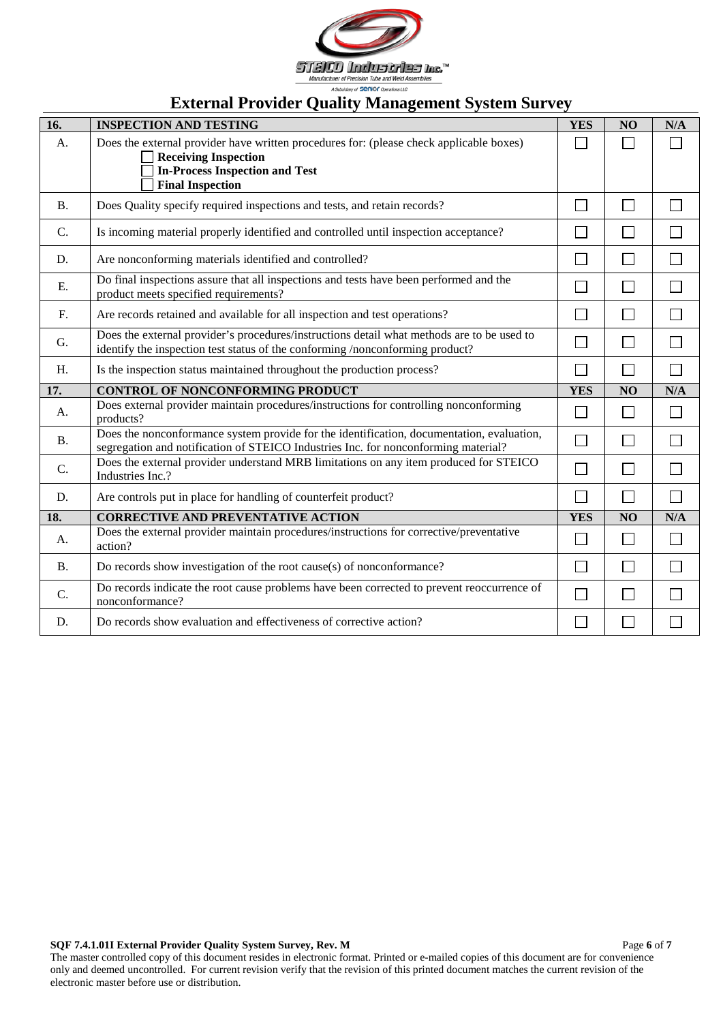

<span id="page-5-0"></span>

| 16.             | <b>INSPECTION AND TESTING</b>                                                                                                                                                              | <b>YES</b> | NO             | N/A            |
|-----------------|--------------------------------------------------------------------------------------------------------------------------------------------------------------------------------------------|------------|----------------|----------------|
| A.              | Does the external provider have written procedures for: (please check applicable boxes)<br><b>Receiving Inspection</b><br><b>In-Process Inspection and Test</b><br><b>Final Inspection</b> |            |                |                |
| <b>B.</b>       | Does Quality specify required inspections and tests, and retain records?                                                                                                                   |            | $\Box$         |                |
| C.              | Is incoming material properly identified and controlled until inspection acceptance?                                                                                                       |            | Г              |                |
| D.              | Are nonconforming materials identified and controlled?                                                                                                                                     |            | L              |                |
| E.              | Do final inspections assure that all inspections and tests have been performed and the<br>product meets specified requirements?                                                            |            | П              |                |
| F.              | Are records retained and available for all inspection and test operations?                                                                                                                 |            | Г              |                |
| G.              | Does the external provider's procedures/instructions detail what methods are to be used to<br>identify the inspection test status of the conforming /nonconforming product?                |            | ┌              |                |
| H.              | Is the inspection status maintained throughout the production process?                                                                                                                     |            | $\Box$         |                |
| 17.             | <b>CONTROL OF NONCONFORMING PRODUCT</b>                                                                                                                                                    | <b>YES</b> | N <sub>O</sub> | N/A            |
| А.              | Does external provider maintain procedures/instructions for controlling nonconforming<br>products?                                                                                         |            | $\Box$         |                |
| <b>B.</b>       | Does the nonconformance system provide for the identification, documentation, evaluation,<br>segregation and notification of STEICO Industries Inc. for nonconforming material?            |            | $\Box$         |                |
| $\mathcal{C}$ . | Does the external provider understand MRB limitations on any item produced for STEICO<br>Industries Inc.?                                                                                  |            | $\Box$         |                |
| D.              | Are controls put in place for handling of counterfeit product?                                                                                                                             |            | $\Box$         | $\mathbb{R}^n$ |
| 18.             | <b>CORRECTIVE AND PREVENTATIVE ACTION</b>                                                                                                                                                  | <b>YES</b> | N <sub>O</sub> | N/A            |
| A.              | Does the external provider maintain procedures/instructions for corrective/preventative<br>action?                                                                                         |            | $\Box$         | $\mathbf{L}$   |
| <b>B.</b>       | Do records show investigation of the root cause(s) of nonconformance?                                                                                                                      |            | $\Box$         |                |
| $\mathcal{C}$ . | Do records indicate the root cause problems have been corrected to prevent reoccurrence of<br>nonconformance?                                                                              |            | $\Box$         |                |
| D.              | Do records show evaluation and effectiveness of corrective action?                                                                                                                         |            |                |                |